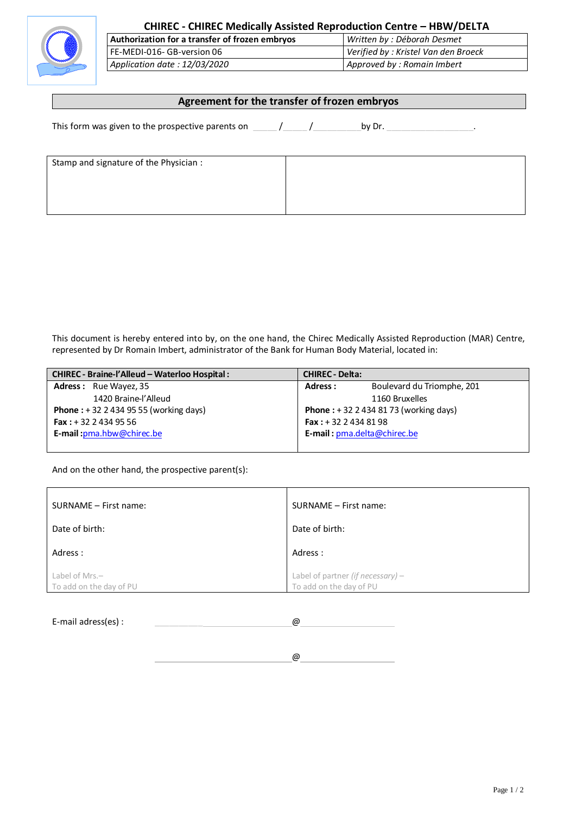

## **CHIREC - CHIREC Medically Assisted Reproduction Centre – HBW/DELTA**

**Authorization for a transfer of frozen embryos** *Written by : Déborah Desmet* FE-MEDI-016- GB-version 06 *Verified by : Kristel Van den Broeck Application date : 12/03/2020 Approved by : Romain Imbert*

## **Agreement for the transfer of frozen embryos**

This form was given to the prospective parents on  $\frac{1}{2}$  /  $\frac{1}{2}$  by Dr.  $\frac{1}{2}$ 

| Stamp and signature of the Physician : |  |
|----------------------------------------|--|
|                                        |  |
|                                        |  |
|                                        |  |

This document is hereby entered into by, on the one hand, the Chirec Medically Assisted Reproduction (MAR) Centre, represented by Dr Romain Imbert, administrator of the Bank for Human Body Material, located in:

| CHIREC - Braine-l'Alleud - Waterloo Hospital :  | <b>CHIREC - Delta:</b>                      |
|-------------------------------------------------|---------------------------------------------|
| <b>Adress:</b> Rue Wayez, 35                    | Boulevard du Triomphe, 201<br>Adress:       |
| 1420 Braine-l'Alleud                            | 1160 Bruxelles                              |
| <b>Phone</b> : $+32$ 2 434 95 55 (working days) | <b>Phone</b> : $+3224348173$ (working days) |
| <b>Fax:</b> $+32$ 2 434 95 56                   | <b>Fax:</b> $+3224348198$                   |
| E-mail: pma.hbw@chirec.be                       | E-mail: pma.delta@chirec.be                 |
|                                                 |                                             |

And on the other hand, the prospective parent(s):

| SURNAME - First name:                        | SURNAME - First name:                                          |
|----------------------------------------------|----------------------------------------------------------------|
| Date of birth:                               | Date of birth:                                                 |
| Adress:                                      | Adress :                                                       |
| Label of Mrs. $-$<br>To add on the day of PU | Label of partner (if necessary) $-$<br>To add on the day of PU |

E-mail adress(es) : \_\_\_\_\_\_\_\_\_\_ @ @